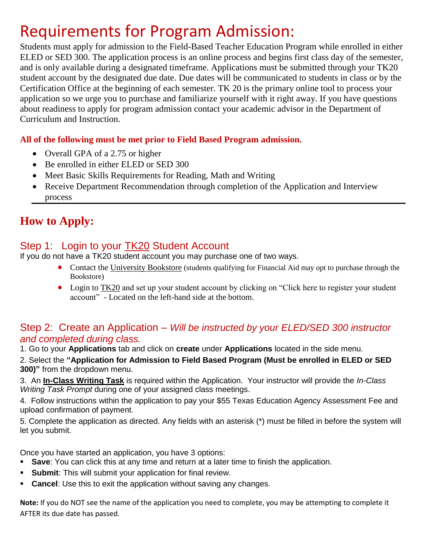# Requirements for Program Admission:

Students must apply for admission to the Field-Based Teacher Education Program while enrolled in either ELED or SED 300. The application process is an online process and begins first class day of the semester, and is only available during a designated timeframe. Applications must be submitted through your TK20 student account by the designated due date. Due dates will be communicated to students in class or by the Certification Office at the beginning of each semester. TK 20 is the primary online tool to process your application so we urge you to purchase and familiarize yourself with it right away. If you have questions about readiness to apply for program admission contact your academic advisor in the Department of Curriculum and Instruction.

### **All of the following must be met prior to Field Based Program admission.**

- Overall GPA of a 2.75 or higher
- Be enrolled in either ELED or SED 300
- Meet Basic Skills Requirements for Reading, Math and Writing
- Receive Department Recommendation through completion of the Application and Interview process

# **How to Apply:**

# Step 1: Login to your TK20 Student Account

If you do not have a TK20 student account you may purchase one of two ways.

- Contact the University Bookstore (students qualifying for Financial Aid may opt to purchase through the Bookstore)
- Login to TK20 and set up your student account by clicking on "Click here to register your student account" - Located on the left-hand side at the bottom.

### Step 2: Create an Application – *Will be instructed by your ELED/SED 300 instructor and completed during class.*

1. Go to your **Applications** tab and click on **create** under **Applications** located in the side menu.

2. Select the **"Application for Admission to Field Based Program (Must be enrolled in ELED or SED 300)"** from the dropdown menu.

3. An **In-Class Writing Task** is required within the Application. Your instructor will provide the *In-Class Writing Task Prompt* during one of your assigned class meetings.

4. Follow instructions within the application to pay your \$55 Texas Education Agency Assessment Fee and upload confirmation of payment.

5. Complete the application as directed. Any fields with an asterisk (\*) must be filled in before the system will let you submit.

Once you have started an application, you have 3 options:

- **Save**: You can click this at any time and return at a later time to finish the application.
- **Submit:** This will submit your application for final review.
- **Cancel:** Use this to exit the application without saving any changes.

**Note:** If you do NOT see the name of the application you need to complete, you may be attempting to complete it AFTER its due date has passed.